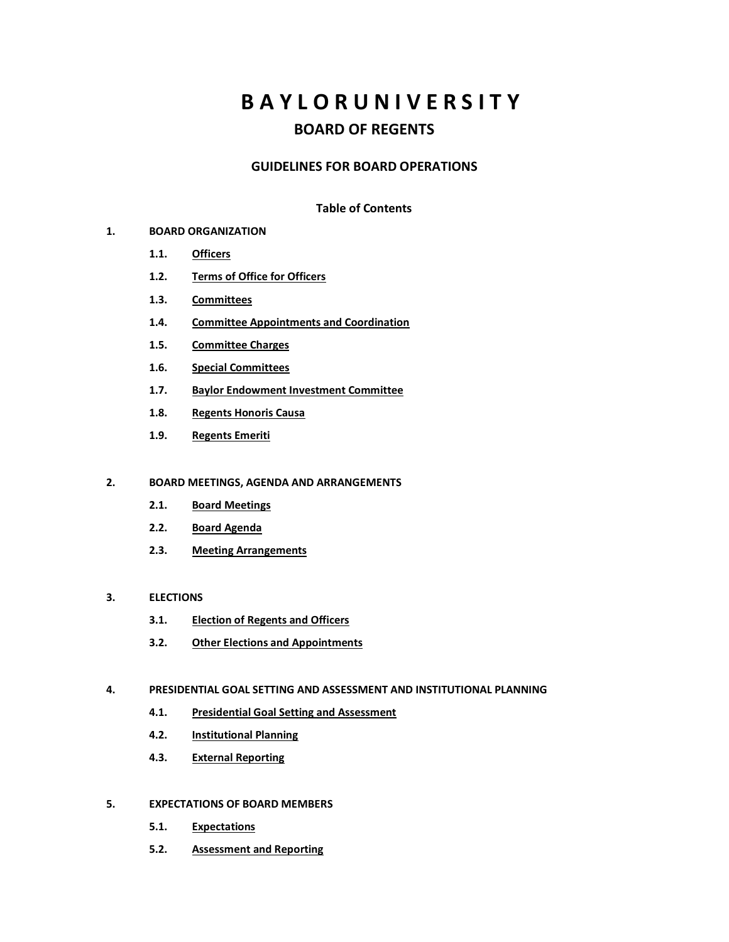# **B A Y L O R U N I V E R S I T Y BOARD OF REGENTS**

#### **GUIDELINES FOR BOARD OPERATIONS**

#### **Table of Contents**

#### **1. BOARD ORGANIZATION**

- **1.1. Officers**
- **1.2. Terms of Office for Officers**
- **1.3. Committees**
- **1.4. Committee Appointments and Coordination**
- **1.5. Committee Charges**
- **1.6. Special Committees**
- **1.7. Baylor Endowment Investment Committee**
- **1.8. Regents Honoris Causa**
- **1.9. Regents Emeriti**

#### **2. BOARD MEETINGS, AGENDA AND ARRANGEMENTS**

- **2.1. Board Meetings**
- **2.2. Board Agenda**
- **2.3. Meeting Arrangements**

#### **3. ELECTIONS**

- **3.1. Election of Regents and Officers**
- **3.2. Other Elections and Appointments**

#### **4. PRESIDENTIAL GOAL SETTING AND ASSESSMENT AND INSTITUTIONAL PLANNING**

- **4.1. Presidential Goal Setting and Assessment**
- **4.2. Institutional Planning**
- **4.3. External Reporting**

#### **5. EXPECTATIONS OF BOARD MEMBERS**

- **5.1. Expectations**
- **5.2. Assessment and Reporting**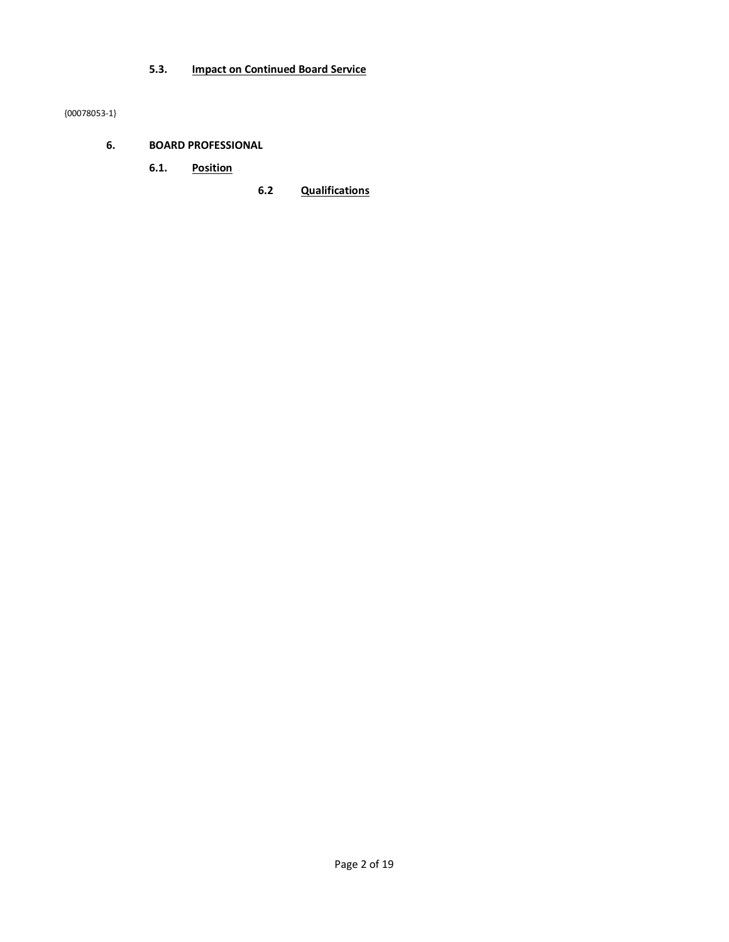## **5.3. Impact on Continued Board Service**

{00078053-1}

- **6. BOARD PROFESSIONAL** 
	- **6.1. Position**
- **6.2 Qualifications**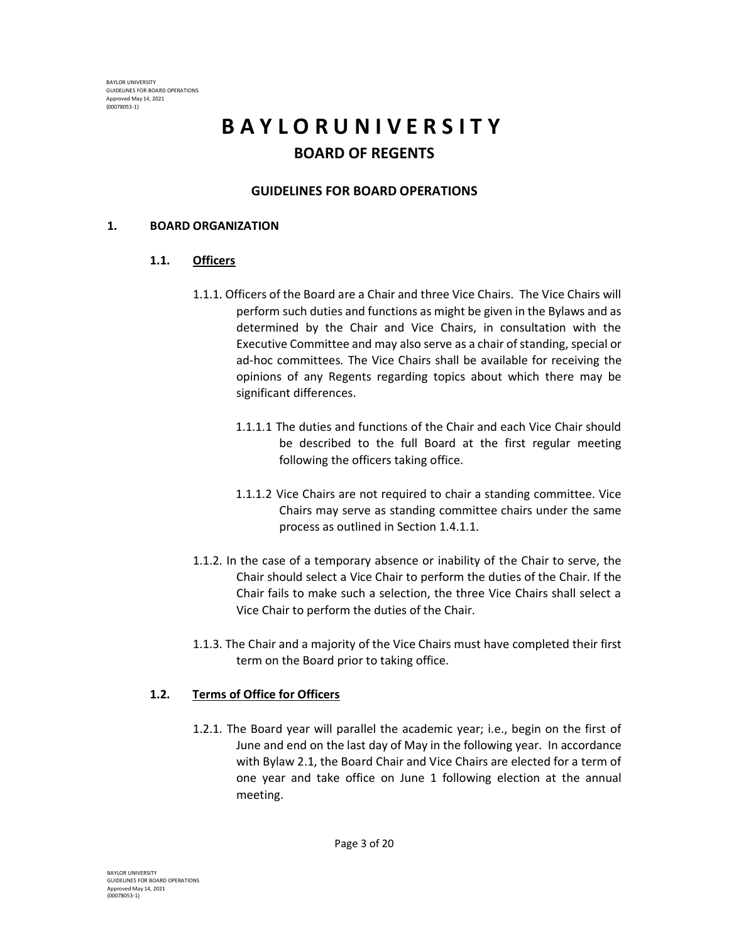# **B A Y L O R U N I V E R S I T Y BOARD OF REGENTS**

# **GUIDELINES FOR BOARD OPERATIONS**

## **1. BOARD ORGANIZATION**

# **1.1. Officers**

- 1.1.1. Officers of the Board are a Chair and three Vice Chairs. The Vice Chairs will perform such duties and functions as might be given in the Bylaws and as determined by the Chair and Vice Chairs, in consultation with the Executive Committee and may also serve as a chair of standing, special or ad-hoc committees*.* The Vice Chairs shall be available for receiving the opinions of any Regents regarding topics about which there may be significant differences.
	- 1.1.1.1 The duties and functions of the Chair and each Vice Chair should be described to the full Board at the first regular meeting following the officers taking office.
	- 1.1.1.2 Vice Chairs are not required to chair a standing committee. Vice Chairs may serve as standing committee chairs under the same process as outlined in Section 1.4.1.1.
- 1.1.2. In the case of a temporary absence or inability of the Chair to serve, the Chair should select a Vice Chair to perform the duties of the Chair. If the Chair fails to make such a selection, the three Vice Chairs shall select a Vice Chair to perform the duties of the Chair.
- 1.1.3. The Chair and a majority of the Vice Chairs must have completed their first term on the Board prior to taking office.

# **1.2. Terms of Office for Officers**

1.2.1. The Board year will parallel the academic year; i.e., begin on the first of June and end on the last day of May in the following year. In accordance with Bylaw 2.1, the Board Chair and Vice Chairs are elected for a term of one year and take office on June 1 following election at the annual meeting.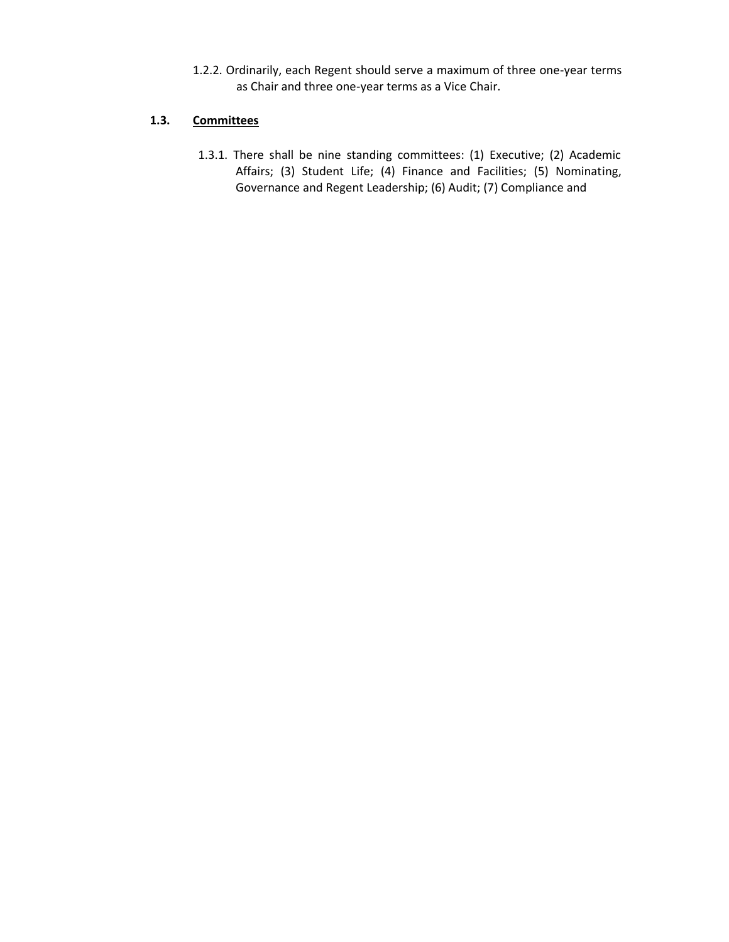1.2.2. Ordinarily, each Regent should serve a maximum of three one-year terms as Chair and three one-year terms as a Vice Chair.

#### **1.3. Committees**

1.3.1. There shall be nine standing committees: (1) Executive; (2) Academic Affairs; (3) Student Life; (4) Finance and Facilities; (5) Nominating, Governance and Regent Leadership; (6) Audit; (7) Compliance and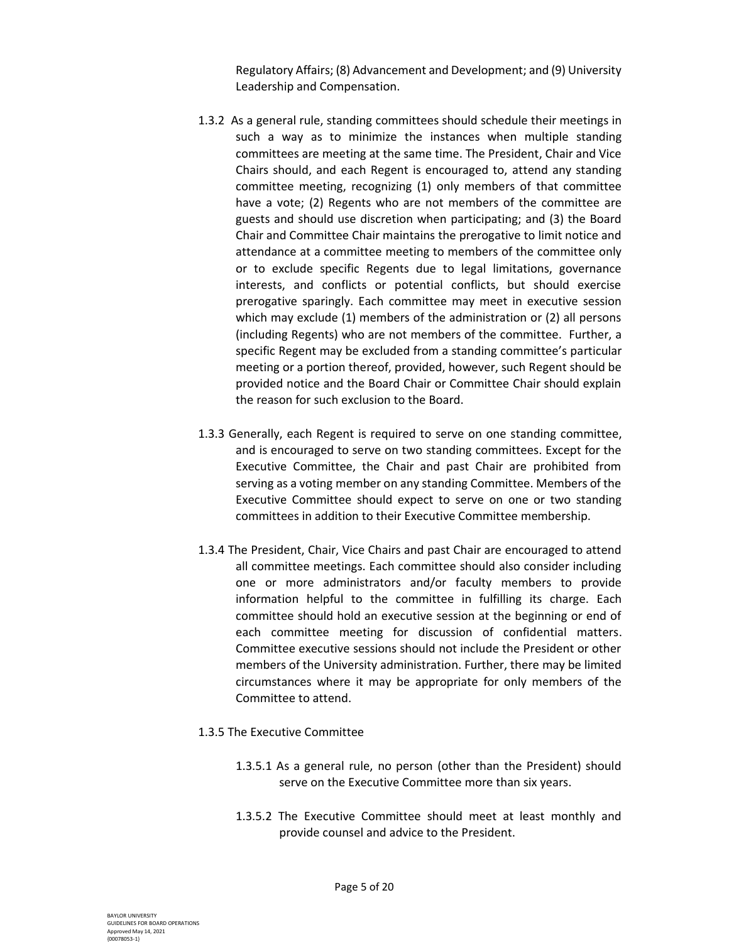Regulatory Affairs; (8) Advancement and Development; and (9) University Leadership and Compensation.

- 1.3.2 As a general rule, standing committees should schedule their meetings in such a way as to minimize the instances when multiple standing committees are meeting at the same time. The President, Chair and Vice Chairs should, and each Regent is encouraged to, attend any standing committee meeting, recognizing (1) only members of that committee have a vote; (2) Regents who are not members of the committee are guests and should use discretion when participating; and (3) the Board Chair and Committee Chair maintains the prerogative to limit notice and attendance at a committee meeting to members of the committee only or to exclude specific Regents due to legal limitations, governance interests, and conflicts or potential conflicts, but should exercise prerogative sparingly. Each committee may meet in executive session which may exclude (1) members of the administration or (2) all persons (including Regents) who are not members of the committee. Further, a specific Regent may be excluded from a standing committee's particular meeting or a portion thereof, provided, however, such Regent should be provided notice and the Board Chair or Committee Chair should explain the reason for such exclusion to the Board.
- 1.3.3 Generally, each Regent is required to serve on one standing committee, and is encouraged to serve on two standing committees. Except for the Executive Committee, the Chair and past Chair are prohibited from serving as a voting member on any standing Committee. Members of the Executive Committee should expect to serve on one or two standing committees in addition to their Executive Committee membership.
- 1.3.4 The President, Chair, Vice Chairs and past Chair are encouraged to attend all committee meetings. Each committee should also consider including one or more administrators and/or faculty members to provide information helpful to the committee in fulfilling its charge. Each committee should hold an executive session at the beginning or end of each committee meeting for discussion of confidential matters. Committee executive sessions should not include the President or other members of the University administration. Further, there may be limited circumstances where it may be appropriate for only members of the Committee to attend.
- 1.3.5 The Executive Committee
	- 1.3.5.1 As a general rule, no person (other than the President) should serve on the Executive Committee more than six years.
	- 1.3.5.2 The Executive Committee should meet at least monthly and provide counsel and advice to the President.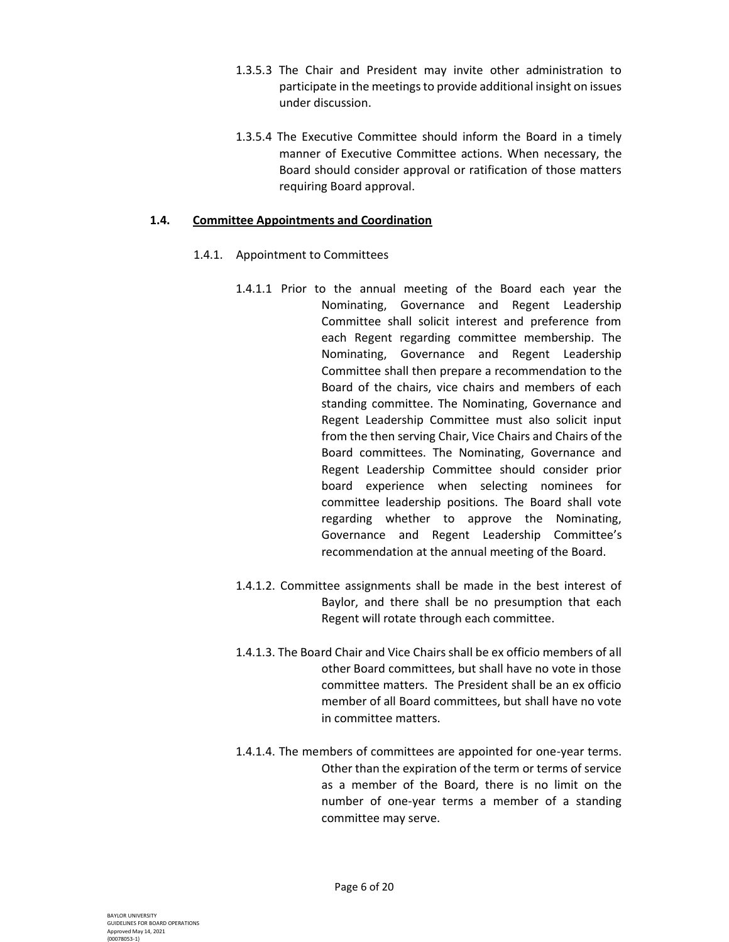- 1.3.5.3 The Chair and President may invite other administration to participate in the meetings to provide additional insight on issues under discussion.
- 1.3.5.4 The Executive Committee should inform the Board in a timely manner of Executive Committee actions. When necessary, the Board should consider approval or ratification of those matters requiring Board approval.

#### **1.4. Committee Appointments and Coordination**

- 1.4.1. Appointment to Committees
	- 1.4.1.1 Prior to the annual meeting of the Board each year the Nominating, Governance and Regent Leadership Committee shall solicit interest and preference from each Regent regarding committee membership. The Nominating, Governance and Regent Leadership Committee shall then prepare a recommendation to the Board of the chairs, vice chairs and members of each standing committee. The Nominating, Governance and Regent Leadership Committee must also solicit input from the then serving Chair, Vice Chairs and Chairs of the Board committees. The Nominating, Governance and Regent Leadership Committee should consider prior board experience when selecting nominees for committee leadership positions. The Board shall vote regarding whether to approve the Nominating, Governance and Regent Leadership Committee's recommendation at the annual meeting of the Board.
	- 1.4.1.2. Committee assignments shall be made in the best interest of Baylor, and there shall be no presumption that each Regent will rotate through each committee.
	- 1.4.1.3. The Board Chair and Vice Chairs shall be ex officio members of all other Board committees, but shall have no vote in those committee matters. The President shall be an ex officio member of all Board committees, but shall have no vote in committee matters.
	- 1.4.1.4. The members of committees are appointed for one-year terms. Other than the expiration of the term or terms of service as a member of the Board, there is no limit on the number of one-year terms a member of a standing committee may serve.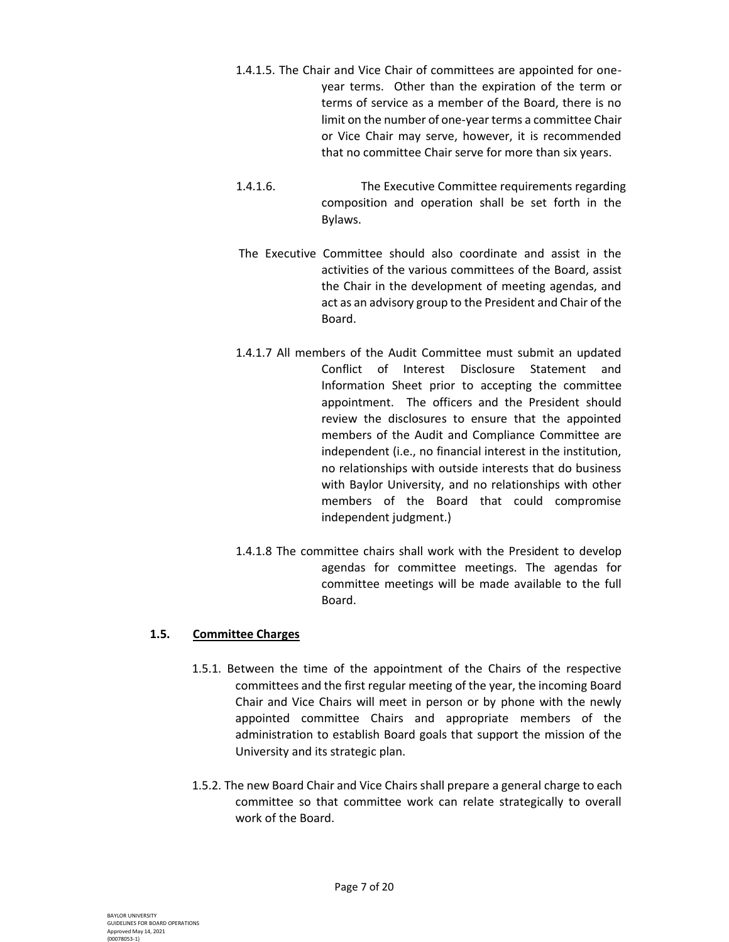- 1.4.1.5. The Chair and Vice Chair of committees are appointed for oneyear terms. Other than the expiration of the term or terms of service as a member of the Board, there is no limit on the number of one-year terms a committee Chair or Vice Chair may serve, however, it is recommended that no committee Chair serve for more than six years.
- 1.4.1.6. The Executive Committee requirements regarding composition and operation shall be set forth in the Bylaws.
- The Executive Committee should also coordinate and assist in the activities of the various committees of the Board, assist the Chair in the development of meeting agendas, and act as an advisory group to the President and Chair of the Board.
- 1.4.1.7 All members of the Audit Committee must submit an updated Conflict of Interest Disclosure Statement and Information Sheet prior to accepting the committee appointment. The officers and the President should review the disclosures to ensure that the appointed members of the Audit and Compliance Committee are independent (i.e., no financial interest in the institution, no relationships with outside interests that do business with Baylor University, and no relationships with other members of the Board that could compromise independent judgment.)
- 1.4.1.8 The committee chairs shall work with the President to develop agendas for committee meetings. The agendas for committee meetings will be made available to the full Board.

#### **1.5. Committee Charges**

- 1.5.1. Between the time of the appointment of the Chairs of the respective committees and the first regular meeting of the year, the incoming Board Chair and Vice Chairs will meet in person or by phone with the newly appointed committee Chairs and appropriate members of the administration to establish Board goals that support the mission of the University and its strategic plan.
- 1.5.2. The new Board Chair and Vice Chairs shall prepare a general charge to each committee so that committee work can relate strategically to overall work of the Board.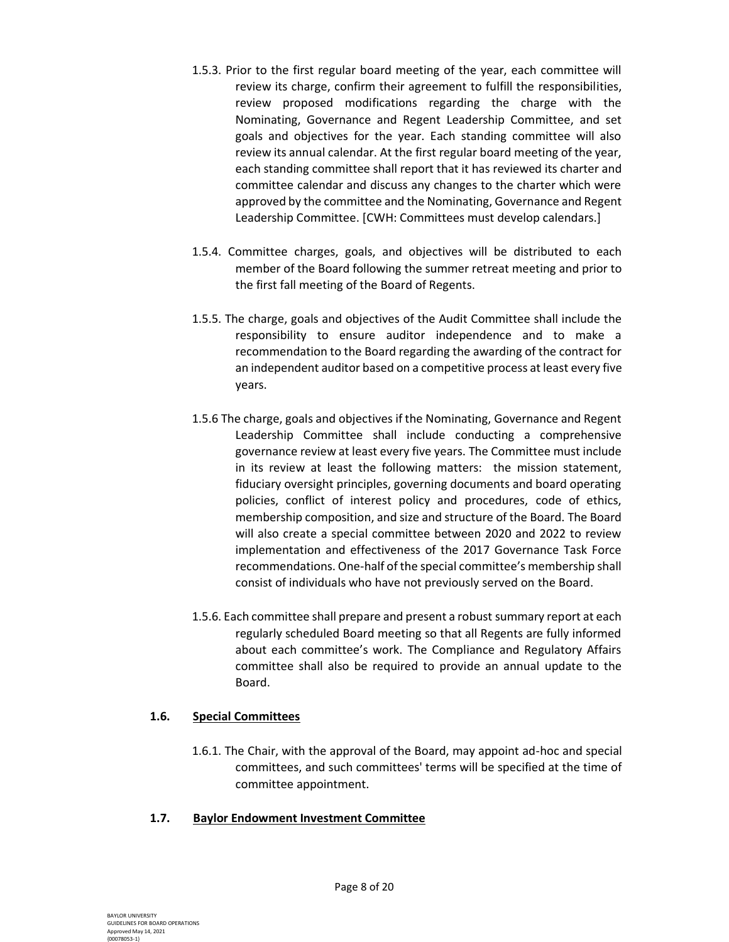- 1.5.3. Prior to the first regular board meeting of the year, each committee will review its charge, confirm their agreement to fulfill the responsibilities, review proposed modifications regarding the charge with the Nominating, Governance and Regent Leadership Committee, and set goals and objectives for the year. Each standing committee will also review its annual calendar. At the first regular board meeting of the year, each standing committee shall report that it has reviewed its charter and committee calendar and discuss any changes to the charter which were approved by the committee and the Nominating, Governance and Regent Leadership Committee. [CWH: Committees must develop calendars.]
- 1.5.4. Committee charges, goals, and objectives will be distributed to each member of the Board following the summer retreat meeting and prior to the first fall meeting of the Board of Regents.
- 1.5.5. The charge, goals and objectives of the Audit Committee shall include the responsibility to ensure auditor independence and to make a recommendation to the Board regarding the awarding of the contract for an independent auditor based on a competitive process at least every five years.
- 1.5.6 The charge, goals and objectives if the Nominating, Governance and Regent Leadership Committee shall include conducting a comprehensive governance review at least every five years. The Committee must include in its review at least the following matters: the mission statement, fiduciary oversight principles, governing documents and board operating policies, conflict of interest policy and procedures, code of ethics, membership composition, and size and structure of the Board. The Board will also create a special committee between 2020 and 2022 to review implementation and effectiveness of the 2017 Governance Task Force recommendations. One-half of the special committee's membership shall consist of individuals who have not previously served on the Board.
- 1.5.6. Each committee shall prepare and present a robust summary report at each regularly scheduled Board meeting so that all Regents are fully informed about each committee's work. The Compliance and Regulatory Affairs committee shall also be required to provide an annual update to the Board.

#### **1.6. Special Committees**

1.6.1. The Chair, with the approval of the Board, may appoint ad-hoc and special committees, and such committees' terms will be specified at the time of committee appointment.

# **1.7. Baylor Endowment Investment Committee**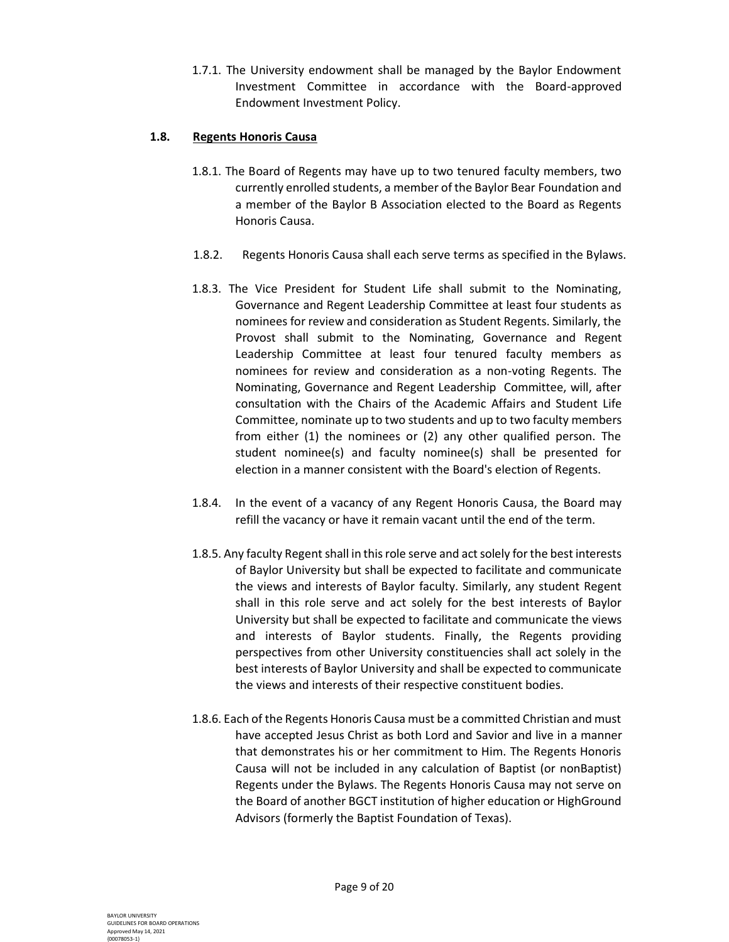1.7.1. The University endowment shall be managed by the Baylor Endowment Investment Committee in accordance with the Board-approved Endowment Investment Policy.

#### **1.8. Regents Honoris Causa**

- 1.8.1. The Board of Regents may have up to two tenured faculty members, two currently enrolled students, a member of the Baylor Bear Foundation and a member of the Baylor B Association elected to the Board as Regents Honoris Causa.
- 1.8.2. Regents Honoris Causa shall each serve terms as specified in the Bylaws.
- 1.8.3. The Vice President for Student Life shall submit to the Nominating, Governance and Regent Leadership Committee at least four students as nominees for review and consideration as Student Regents. Similarly, the Provost shall submit to the Nominating, Governance and Regent Leadership Committee at least four tenured faculty members as nominees for review and consideration as a non-voting Regents. The Nominating, Governance and Regent Leadership Committee, will, after consultation with the Chairs of the Academic Affairs and Student Life Committee, nominate up to two students and up to two faculty members from either (1) the nominees or (2) any other qualified person. The student nominee(s) and faculty nominee(s) shall be presented for election in a manner consistent with the Board's election of Regents.
- 1.8.4. In the event of a vacancy of any Regent Honoris Causa, the Board may refill the vacancy or have it remain vacant until the end of the term.
- 1.8.5. Any faculty Regent shall in this role serve and act solely for the best interests of Baylor University but shall be expected to facilitate and communicate the views and interests of Baylor faculty. Similarly, any student Regent shall in this role serve and act solely for the best interests of Baylor University but shall be expected to facilitate and communicate the views and interests of Baylor students. Finally, the Regents providing perspectives from other University constituencies shall act solely in the best interests of Baylor University and shall be expected to communicate the views and interests of their respective constituent bodies.
- 1.8.6. Each of the Regents Honoris Causa must be a committed Christian and must have accepted Jesus Christ as both Lord and Savior and live in a manner that demonstrates his or her commitment to Him. The Regents Honoris Causa will not be included in any calculation of Baptist (or nonBaptist) Regents under the Bylaws. The Regents Honoris Causa may not serve on the Board of another BGCT institution of higher education or HighGround Advisors (formerly the Baptist Foundation of Texas).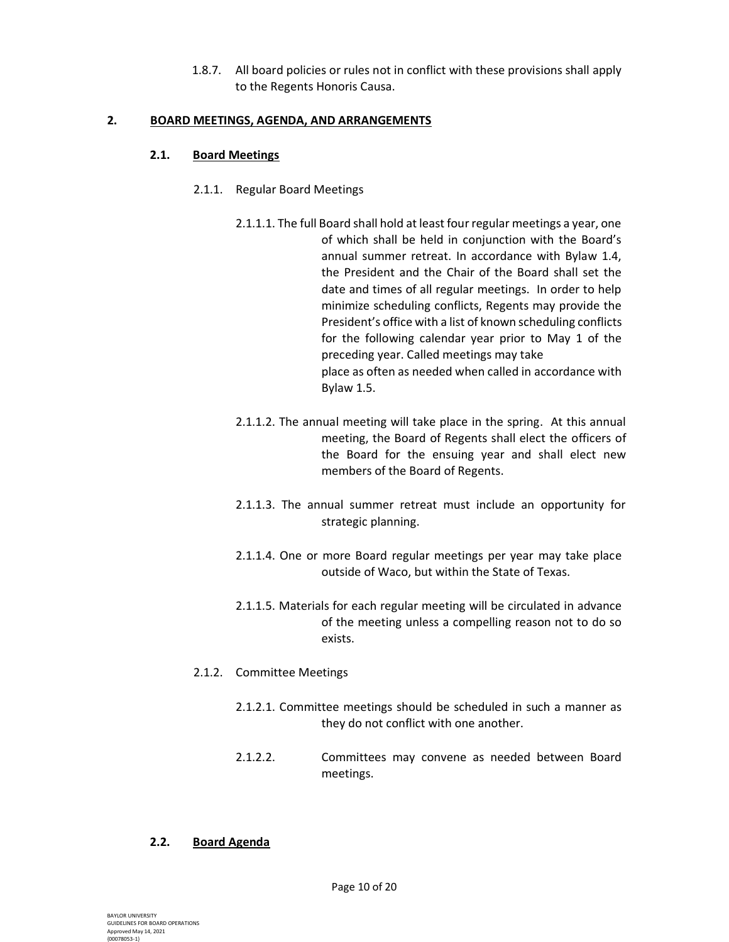1.8.7. All board policies or rules not in conflict with these provisions shall apply to the Regents Honoris Causa.

#### **2. BOARD MEETINGS, AGENDA, AND ARRANGEMENTS**

## **2.1. Board Meetings**

- 2.1.1. Regular Board Meetings
	- 2.1.1.1. The full Board shall hold at least four regular meetings a year, one of which shall be held in conjunction with the Board's annual summer retreat. In accordance with Bylaw 1.4, the President and the Chair of the Board shall set the date and times of all regular meetings. In order to help minimize scheduling conflicts, Regents may provide the President's office with a list of known scheduling conflicts for the following calendar year prior to May 1 of the preceding year. Called meetings may take place as often as needed when called in accordance with Bylaw 1.5.
	- 2.1.1.2. The annual meeting will take place in the spring. At this annual meeting, the Board of Regents shall elect the officers of the Board for the ensuing year and shall elect new members of the Board of Regents.
	- 2.1.1.3. The annual summer retreat must include an opportunity for strategic planning.
	- 2.1.1.4. One or more Board regular meetings per year may take place outside of Waco, but within the State of Texas.
	- 2.1.1.5. Materials for each regular meeting will be circulated in advance of the meeting unless a compelling reason not to do so exists.

# 2.1.2. Committee Meetings

- 2.1.2.1. Committee meetings should be scheduled in such a manner as they do not conflict with one another.
- 2.1.2.2. Committees may convene as needed between Board meetings.

# **2.2. Board Agenda**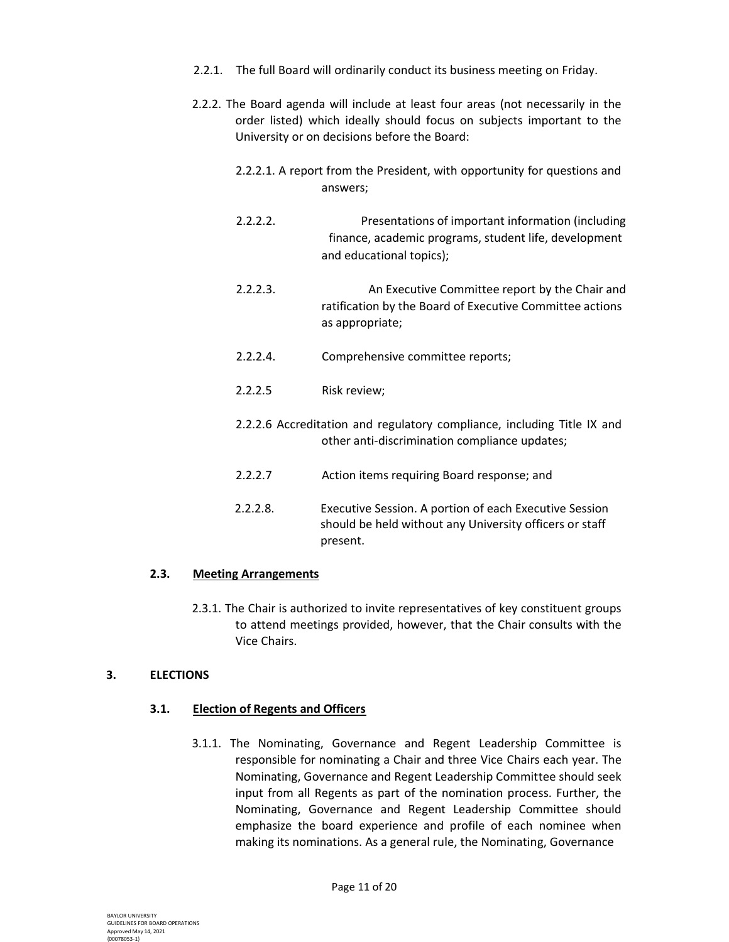- 2.2.1. The full Board will ordinarily conduct its business meeting on Friday.
- 2.2.2. The Board agenda will include at least four areas (not necessarily in the order listed) which ideally should focus on subjects important to the University or on decisions before the Board:
	- 2.2.2.1. A report from the President, with opportunity for questions and answers;
	- 2.2.2.2. Presentations of important information (including finance, academic programs, student life, development and educational topics);
	- 2.2.2.3. An Executive Committee report by the Chair and ratification by the Board of Executive Committee actions as appropriate;
	- 2.2.2.4. Comprehensive committee reports;
	- 2.2.2.5 Risk review;
	- 2.2.2.6 Accreditation and regulatory compliance, including Title IX and other anti-discrimination compliance updates;
	- 2.2.2.7 Action items requiring Board response; and
	- 2.2.2.8. Executive Session. A portion of each Executive Session should be held without any University officers or staff present.

#### **2.3. Meeting Arrangements**

2.3.1. The Chair is authorized to invite representatives of key constituent groups to attend meetings provided, however, that the Chair consults with the Vice Chairs.

# **3. ELECTIONS**

# **3.1. Election of Regents and Officers**

3.1.1. The Nominating, Governance and Regent Leadership Committee is responsible for nominating a Chair and three Vice Chairs each year. The Nominating, Governance and Regent Leadership Committee should seek input from all Regents as part of the nomination process. Further, the Nominating, Governance and Regent Leadership Committee should emphasize the board experience and profile of each nominee when making its nominations. As a general rule, the Nominating, Governance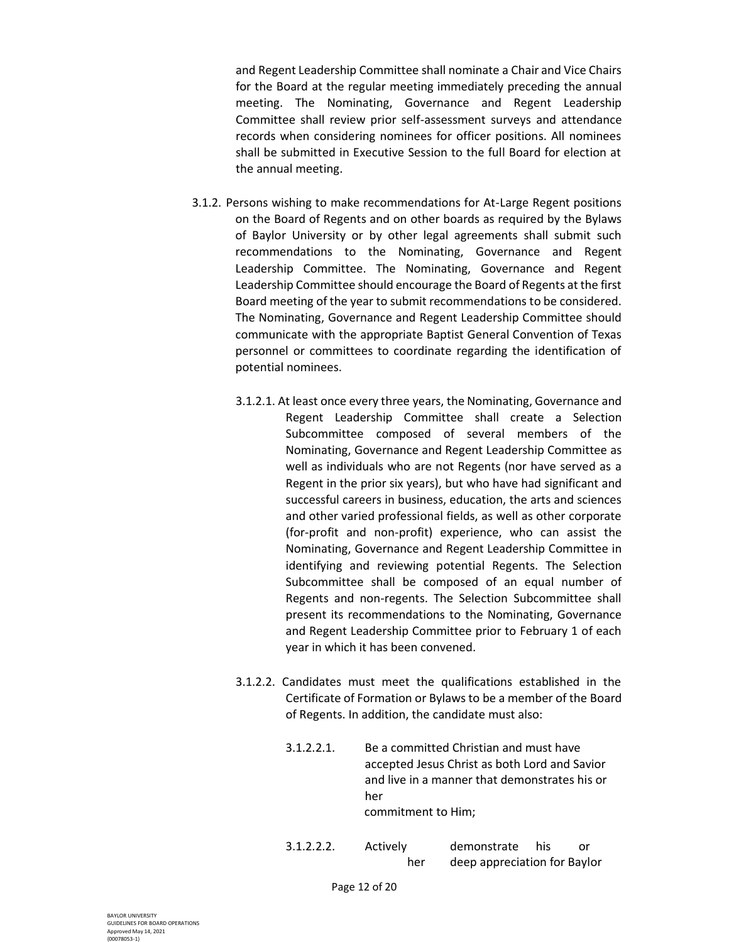and Regent Leadership Committee shall nominate a Chair and Vice Chairs for the Board at the regular meeting immediately preceding the annual meeting. The Nominating, Governance and Regent Leadership Committee shall review prior self-assessment surveys and attendance records when considering nominees for officer positions. All nominees shall be submitted in Executive Session to the full Board for election at the annual meeting.

- 3.1.2. Persons wishing to make recommendations for At-Large Regent positions on the Board of Regents and on other boards as required by the Bylaws of Baylor University or by other legal agreements shall submit such recommendations to the Nominating, Governance and Regent Leadership Committee. The Nominating, Governance and Regent Leadership Committee should encourage the Board of Regents at the first Board meeting of the year to submit recommendations to be considered. The Nominating, Governance and Regent Leadership Committee should communicate with the appropriate Baptist General Convention of Texas personnel or committees to coordinate regarding the identification of potential nominees.
	- 3.1.2.1. At least once every three years, the Nominating, Governance and Regent Leadership Committee shall create a Selection Subcommittee composed of several members of the Nominating, Governance and Regent Leadership Committee as well as individuals who are not Regents (nor have served as a Regent in the prior six years), but who have had significant and successful careers in business, education, the arts and sciences and other varied professional fields, as well as other corporate (for-profit and non-profit) experience, who can assist the Nominating, Governance and Regent Leadership Committee in identifying and reviewing potential Regents. The Selection Subcommittee shall be composed of an equal number of Regents and non-regents. The Selection Subcommittee shall present its recommendations to the Nominating, Governance and Regent Leadership Committee prior to February 1 of each year in which it has been convened.
	- 3.1.2.2. Candidates must meet the qualifications established in the Certificate of Formation or Bylaws to be a member of the Board of Regents. In addition, the candidate must also:
		- 3.1.2.2.1. Be a committed Christian and must have accepted Jesus Christ as both Lord and Savior and live in a manner that demonstrates his or her commitment to Him;
		- 3.1.2.2.2. Actively demonstrate his or her deep appreciation for Baylor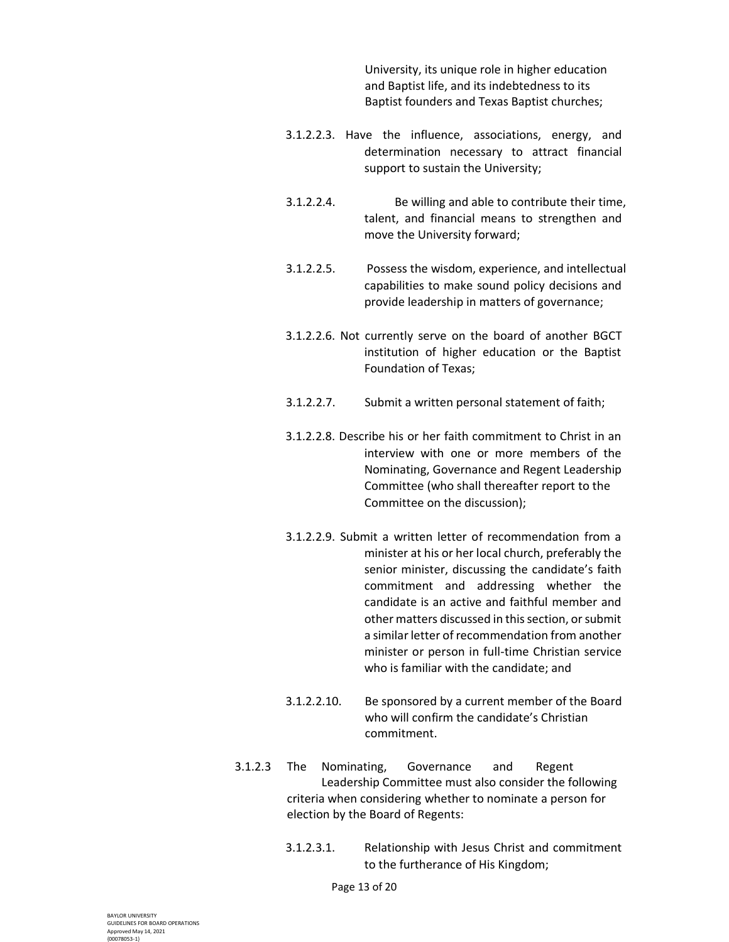University, its unique role in higher education and Baptist life, and its indebtedness to its Baptist founders and Texas Baptist churches;

- 3.1.2.2.3. Have the influence, associations, energy, and determination necessary to attract financial support to sustain the University;
- 3.1.2.2.4. Be willing and able to contribute their time, talent, and financial means to strengthen and move the University forward;
- 3.1.2.2.5. Possess the wisdom, experience, and intellectual capabilities to make sound policy decisions and provide leadership in matters of governance;
- 3.1.2.2.6. Not currently serve on the board of another BGCT institution of higher education or the Baptist Foundation of Texas;
- 3.1.2.2.7. Submit a written personal statement of faith;
- 3.1.2.2.8. Describe his or her faith commitment to Christ in an interview with one or more members of the Nominating, Governance and Regent Leadership Committee (who shall thereafter report to the Committee on the discussion);
- 3.1.2.2.9. Submit a written letter of recommendation from a minister at his or her local church, preferably the senior minister, discussing the candidate's faith commitment and addressing whether the candidate is an active and faithful member and other matters discussed in this section, or submit a similar letter of recommendation from another minister or person in full-time Christian service who is familiar with the candidate; and
- 3.1.2.2.10. Be sponsored by a current member of the Board who will confirm the candidate's Christian commitment.
- 3.1.2.3 The Nominating, Governance and Regent Leadership Committee must also consider the following criteria when considering whether to nominate a person for election by the Board of Regents:
	- 3.1.2.3.1. Relationship with Jesus Christ and commitment to the furtherance of His Kingdom;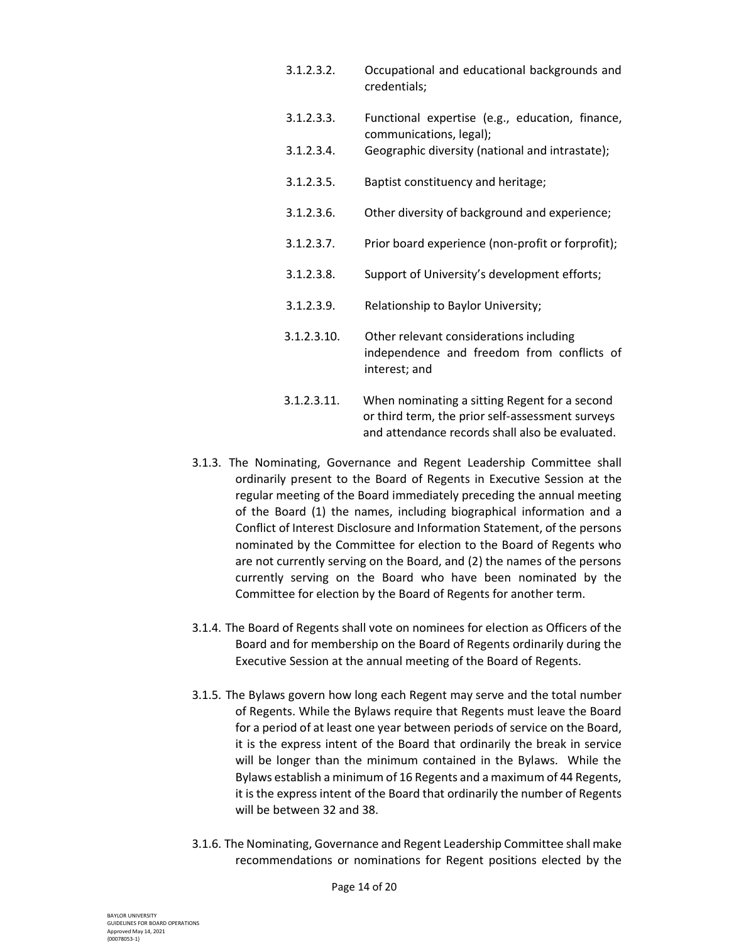- 3.1.2.3.2. Occupational and educational backgrounds and credentials; 3.1.2.3.3. Functional expertise (e.g., education, finance, communications, legal); 3.1.2.3.4. Geographic diversity (national and intrastate); 3.1.2.3.5. Baptist constituency and heritage; 3.1.2.3.6. Other diversity of background and experience; 3.1.2.3.7. Prior board experience (non-profit or forprofit); 3.1.2.3.8. Support of University's development efforts; 3.1.2.3.9. Relationship to Baylor University; 3.1.2.3.10. Other relevant considerations including independence and freedom from conflicts of interest; and 3.1.2.3.11. When nominating a sitting Regent for a second
- or third term, the prior self-assessment surveys and attendance records shall also be evaluated.
- 3.1.3. The Nominating, Governance and Regent Leadership Committee shall ordinarily present to the Board of Regents in Executive Session at the regular meeting of the Board immediately preceding the annual meeting of the Board (1) the names, including biographical information and a Conflict of Interest Disclosure and Information Statement, of the persons nominated by the Committee for election to the Board of Regents who are not currently serving on the Board, and (2) the names of the persons currently serving on the Board who have been nominated by the Committee for election by the Board of Regents for another term.
- 3.1.4. The Board of Regents shall vote on nominees for election as Officers of the Board and for membership on the Board of Regents ordinarily during the Executive Session at the annual meeting of the Board of Regents.
- 3.1.5. The Bylaws govern how long each Regent may serve and the total number of Regents. While the Bylaws require that Regents must leave the Board for a period of at least one year between periods of service on the Board, it is the express intent of the Board that ordinarily the break in service will be longer than the minimum contained in the Bylaws. While the Bylaws establish a minimum of 16 Regents and a maximum of 44 Regents, it is the express intent of the Board that ordinarily the number of Regents will be between 32 and 38.
- 3.1.6. The Nominating, Governance and Regent Leadership Committee shall make recommendations or nominations for Regent positions elected by the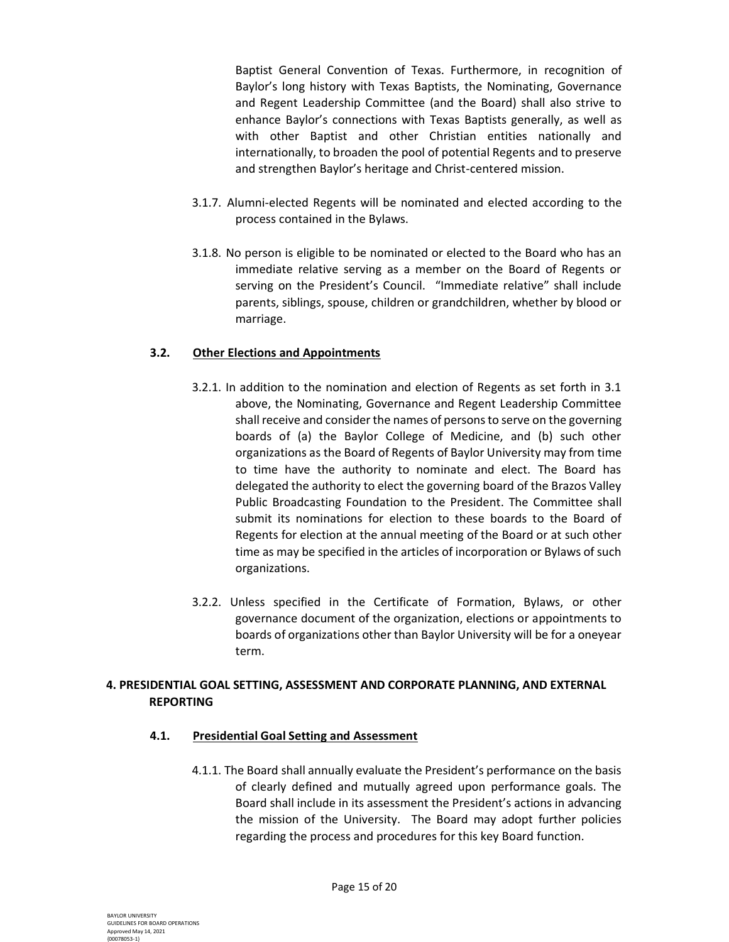Baptist General Convention of Texas. Furthermore, in recognition of Baylor's long history with Texas Baptists, the Nominating, Governance and Regent Leadership Committee (and the Board) shall also strive to enhance Baylor's connections with Texas Baptists generally, as well as with other Baptist and other Christian entities nationally and internationally, to broaden the pool of potential Regents and to preserve and strengthen Baylor's heritage and Christ-centered mission.

- 3.1.7. Alumni-elected Regents will be nominated and elected according to the process contained in the Bylaws.
- 3.1.8. No person is eligible to be nominated or elected to the Board who has an immediate relative serving as a member on the Board of Regents or serving on the President's Council. "Immediate relative" shall include parents, siblings, spouse, children or grandchildren, whether by blood or marriage.

## **3.2. Other Elections and Appointments**

- 3.2.1. In addition to the nomination and election of Regents as set forth in 3.1 above, the Nominating, Governance and Regent Leadership Committee shall receive and consider the names of persons to serve on the governing boards of (a) the Baylor College of Medicine, and (b) such other organizations as the Board of Regents of Baylor University may from time to time have the authority to nominate and elect. The Board has delegated the authority to elect the governing board of the Brazos Valley Public Broadcasting Foundation to the President. The Committee shall submit its nominations for election to these boards to the Board of Regents for election at the annual meeting of the Board or at such other time as may be specified in the articles of incorporation or Bylaws of such organizations.
- 3.2.2. Unless specified in the Certificate of Formation, Bylaws, or other governance document of the organization, elections or appointments to boards of organizations other than Baylor University will be for a oneyear term.

# **4. PRESIDENTIAL GOAL SETTING, ASSESSMENT AND CORPORATE PLANNING, AND EXTERNAL REPORTING**

#### **4.1. Presidential Goal Setting and Assessment**

4.1.1. The Board shall annually evaluate the President's performance on the basis of clearly defined and mutually agreed upon performance goals. The Board shall include in its assessment the President's actions in advancing the mission of the University. The Board may adopt further policies regarding the process and procedures for this key Board function.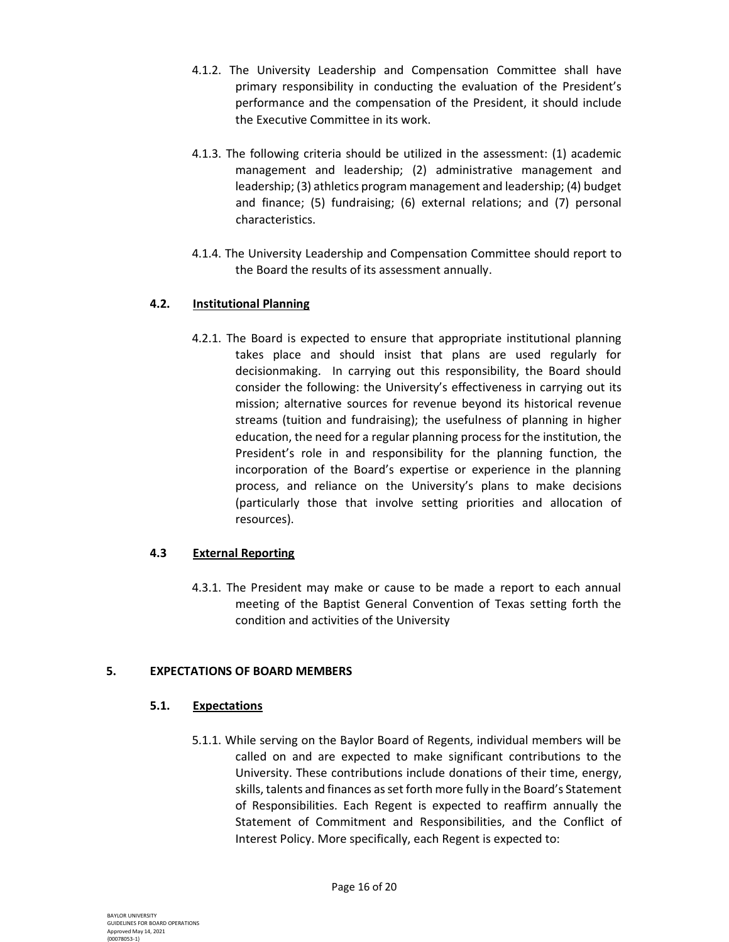- 4.1.2. The University Leadership and Compensation Committee shall have primary responsibility in conducting the evaluation of the President's performance and the compensation of the President, it should include the Executive Committee in its work.
- 4.1.3. The following criteria should be utilized in the assessment: (1) academic management and leadership; (2) administrative management and leadership; (3) athletics program management and leadership; (4) budget and finance; (5) fundraising; (6) external relations; and (7) personal characteristics.
- 4.1.4. The University Leadership and Compensation Committee should report to the Board the results of its assessment annually.

# **4.2. Institutional Planning**

4.2.1. The Board is expected to ensure that appropriate institutional planning takes place and should insist that plans are used regularly for decisionmaking. In carrying out this responsibility, the Board should consider the following: the University's effectiveness in carrying out its mission; alternative sources for revenue beyond its historical revenue streams (tuition and fundraising); the usefulness of planning in higher education, the need for a regular planning process for the institution, the President's role in and responsibility for the planning function, the incorporation of the Board's expertise or experience in the planning process, and reliance on the University's plans to make decisions (particularly those that involve setting priorities and allocation of resources).

# **4.3 External Reporting**

4.3.1. The President may make or cause to be made a report to each annual meeting of the Baptist General Convention of Texas setting forth the condition and activities of the University

# **5. EXPECTATIONS OF BOARD MEMBERS**

#### **5.1. Expectations**

5.1.1. While serving on the Baylor Board of Regents, individual members will be called on and are expected to make significant contributions to the University. These contributions include donations of their time, energy, skills, talents and finances as set forth more fully in the Board's Statement of Responsibilities. Each Regent is expected to reaffirm annually the Statement of Commitment and Responsibilities, and the Conflict of Interest Policy. More specifically, each Regent is expected to: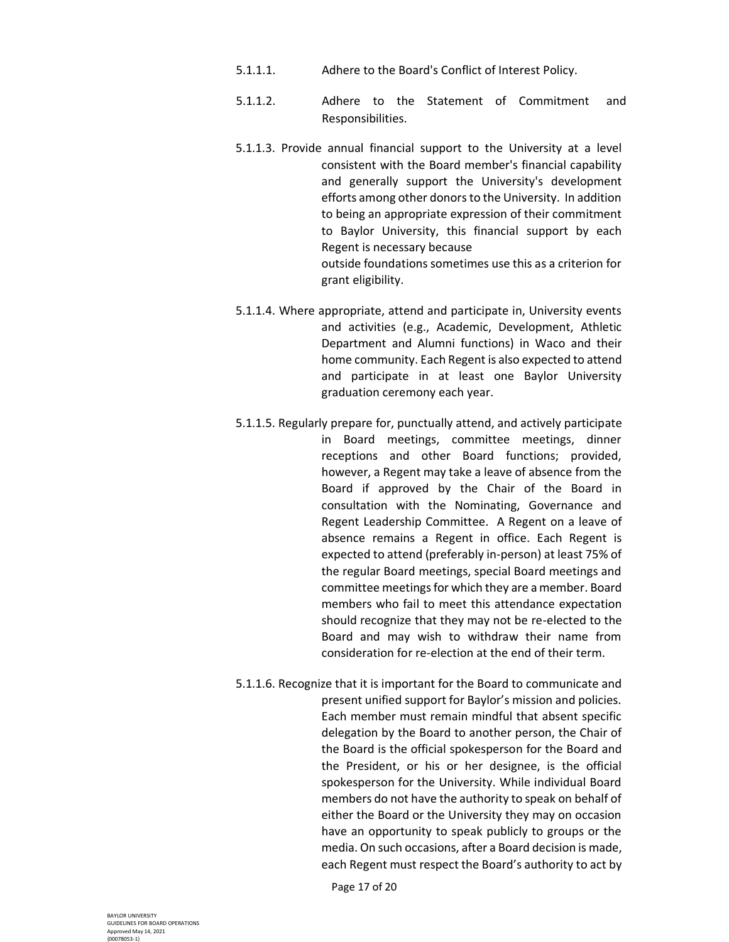- 5.1.1.1. Adhere to the Board's Conflict of Interest Policy.
- 5.1.1.2. Adhere to the Statement of Commitment and Responsibilities.
- 5.1.1.3. Provide annual financial support to the University at a level consistent with the Board member's financial capability and generally support the University's development efforts among other donors to the University. In addition to being an appropriate expression of their commitment to Baylor University, this financial support by each Regent is necessary because outside foundations sometimes use this as a criterion for grant eligibility.
- 5.1.1.4. Where appropriate, attend and participate in, University events and activities (e.g., Academic, Development, Athletic Department and Alumni functions) in Waco and their home community. Each Regent is also expected to attend and participate in at least one Baylor University graduation ceremony each year.
- 5.1.1.5. Regularly prepare for, punctually attend, and actively participate in Board meetings, committee meetings, dinner receptions and other Board functions; provided, however, a Regent may take a leave of absence from the Board if approved by the Chair of the Board in consultation with the Nominating, Governance and Regent Leadership Committee. A Regent on a leave of absence remains a Regent in office. Each Regent is expected to attend (preferably in-person) at least 75% of the regular Board meetings, special Board meetings and committee meetings for which they are a member. Board members who fail to meet this attendance expectation should recognize that they may not be re-elected to the Board and may wish to withdraw their name from consideration for re-election at the end of their term.
- 5.1.1.6. Recognize that it is important for the Board to communicate and present unified support for Baylor's mission and policies. Each member must remain mindful that absent specific delegation by the Board to another person, the Chair of the Board is the official spokesperson for the Board and the President, or his or her designee, is the official spokesperson for the University. While individual Board members do not have the authority to speak on behalf of either the Board or the University they may on occasion have an opportunity to speak publicly to groups or the media. On such occasions, after a Board decision is made, each Regent must respect the Board's authority to act by

Page 17 of 20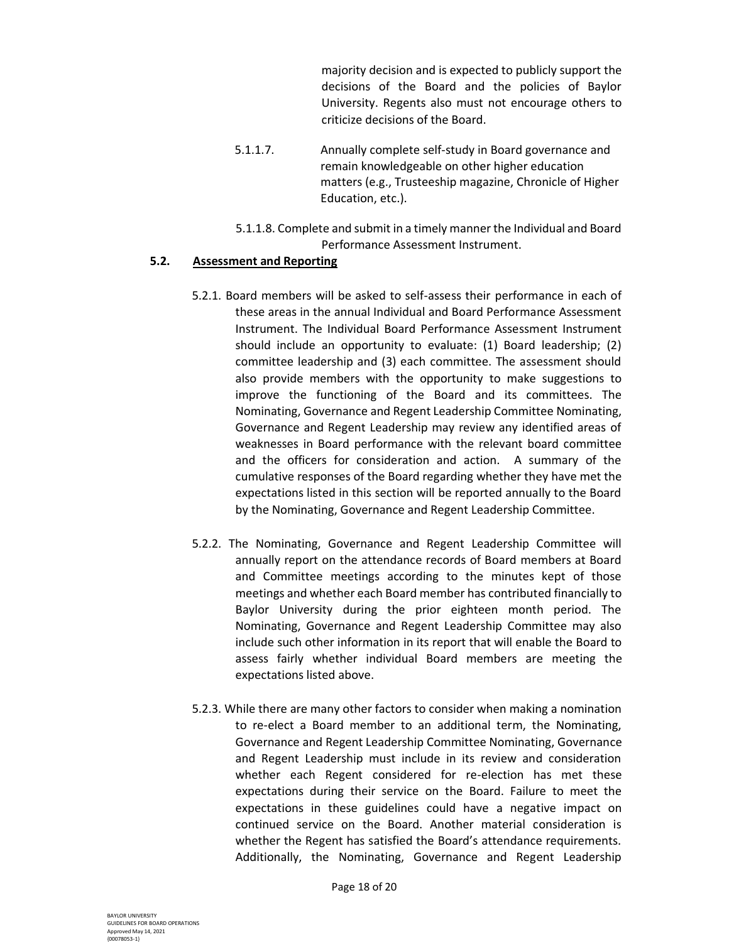majority decision and is expected to publicly support the decisions of the Board and the policies of Baylor University. Regents also must not encourage others to criticize decisions of the Board.

- 5.1.1.7. Annually complete self-study in Board governance and remain knowledgeable on other higher education matters (e.g., Trusteeship magazine, Chronicle of Higher Education, etc.).
- 5.1.1.8. Complete and submit in a timely manner the Individual and Board Performance Assessment Instrument.

## **5.2. Assessment and Reporting**

- 5.2.1. Board members will be asked to self-assess their performance in each of these areas in the annual Individual and Board Performance Assessment Instrument. The Individual Board Performance Assessment Instrument should include an opportunity to evaluate: (1) Board leadership; (2) committee leadership and (3) each committee. The assessment should also provide members with the opportunity to make suggestions to improve the functioning of the Board and its committees. The Nominating, Governance and Regent Leadership Committee Nominating, Governance and Regent Leadership may review any identified areas of weaknesses in Board performance with the relevant board committee and the officers for consideration and action. A summary of the cumulative responses of the Board regarding whether they have met the expectations listed in this section will be reported annually to the Board by the Nominating, Governance and Regent Leadership Committee.
- 5.2.2. The Nominating, Governance and Regent Leadership Committee will annually report on the attendance records of Board members at Board and Committee meetings according to the minutes kept of those meetings and whether each Board member has contributed financially to Baylor University during the prior eighteen month period. The Nominating, Governance and Regent Leadership Committee may also include such other information in its report that will enable the Board to assess fairly whether individual Board members are meeting the expectations listed above.
- 5.2.3. While there are many other factors to consider when making a nomination to re-elect a Board member to an additional term, the Nominating, Governance and Regent Leadership Committee Nominating, Governance and Regent Leadership must include in its review and consideration whether each Regent considered for re-election has met these expectations during their service on the Board. Failure to meet the expectations in these guidelines could have a negative impact on continued service on the Board. Another material consideration is whether the Regent has satisfied the Board's attendance requirements. Additionally, the Nominating, Governance and Regent Leadership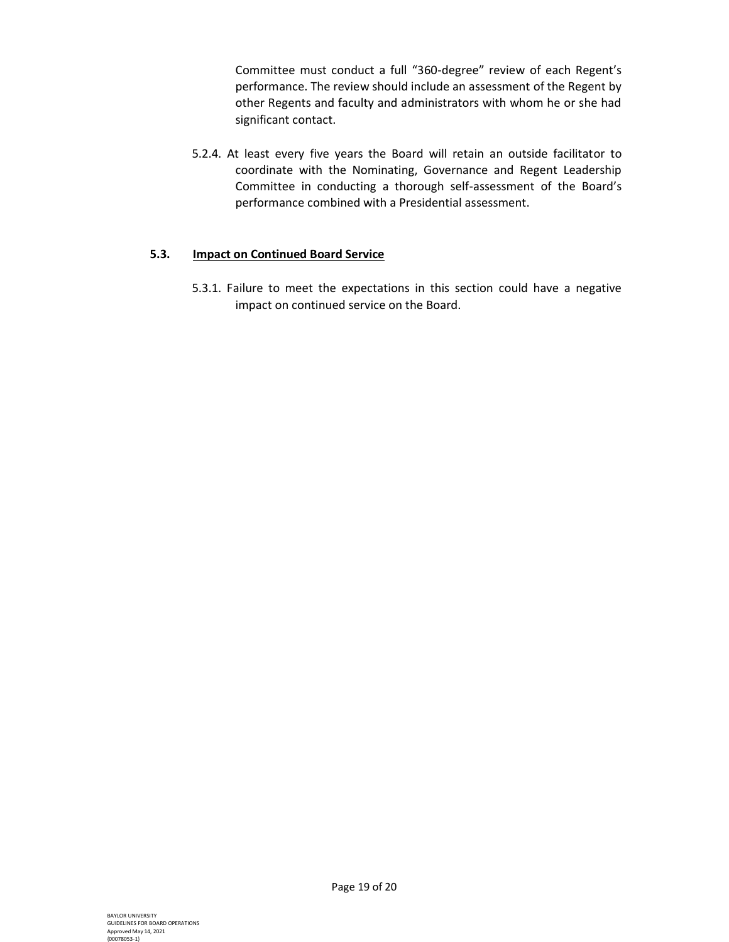Committee must conduct a full "360-degree" review of each Regent's performance. The review should include an assessment of the Regent by other Regents and faculty and administrators with whom he or she had significant contact.

5.2.4. At least every five years the Board will retain an outside facilitator to coordinate with the Nominating, Governance and Regent Leadership Committee in conducting a thorough self-assessment of the Board's performance combined with a Presidential assessment.

## **5.3. Impact on Continued Board Service**

5.3.1. Failure to meet the expectations in this section could have a negative impact on continued service on the Board.